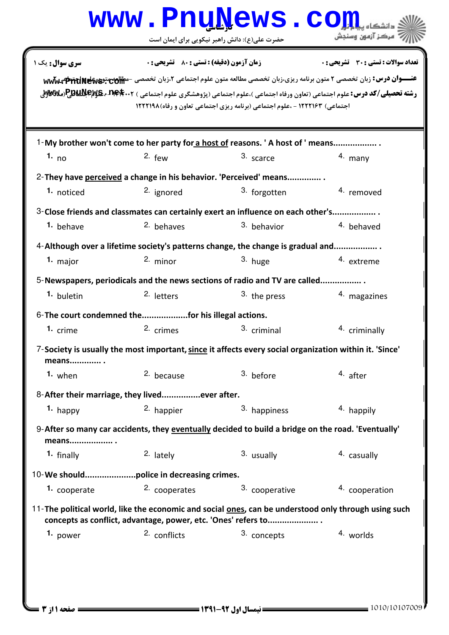|                                                                                                                   |                                                                            | www.PnuNews.co                                                                                                                                                        |                                                                                                                                                                                                                                                                                |  |  |  |
|-------------------------------------------------------------------------------------------------------------------|----------------------------------------------------------------------------|-----------------------------------------------------------------------------------------------------------------------------------------------------------------------|--------------------------------------------------------------------------------------------------------------------------------------------------------------------------------------------------------------------------------------------------------------------------------|--|--|--|
|                                                                                                                   |                                                                            | حضرت علی(ع): دانش راهبر نیکویی برای ایمان است                                                                                                                         | مركز آزمون وسنجش                                                                                                                                                                                                                                                               |  |  |  |
| سری سوال: یک ۱                                                                                                    | <b>زمان آزمون (دقیقه) : تستی : 80 ٪ تشریحی : 0</b>                         |                                                                                                                                                                       | تعداد سوالات : تستي : 30 - تشريحي : 0                                                                                                                                                                                                                                          |  |  |  |
|                                                                                                                   |                                                                            | اجتماعي) ۱۲۲۲۱۶۳ - ،علوم اجتماعي (برنامه ريزي اجتماعي تعاون و رفاه)۱۲۲۲۱۹۸                                                                                            | عنـــوان درس: زبان تخصصی ۲ متون برنامه ریزی،زبان تخصصی مطالعه متون علوم اجتماعی ۲،زبان تخصصی -مطالعهمتعه <del>های مرا</del> جتهای میل<br><b>رشته تحصیلی/کد درس:</b> علوم اجتماعی (تعاون ورفاه اجتماعی )،علوم اجتماعی (پژوهشگری علوم اجتماعی ) P <b>auNexe ، net</b> ، ۲ وPauNe |  |  |  |
|                                                                                                                   |                                                                            | 1-My brother won't come to her party for a host of reasons. 'A host of ' means                                                                                        |                                                                                                                                                                                                                                                                                |  |  |  |
| 1. $no$                                                                                                           | $2.$ few                                                                   | 3. scarce                                                                                                                                                             | 4. many                                                                                                                                                                                                                                                                        |  |  |  |
|                                                                                                                   |                                                                            | 2- They have perceived a change in his behavior. 'Perceived' means                                                                                                    |                                                                                                                                                                                                                                                                                |  |  |  |
| 1. noticed                                                                                                        | 2. ignored                                                                 | 3. forgotten                                                                                                                                                          | 4. removed                                                                                                                                                                                                                                                                     |  |  |  |
| 3-Close friends and classmates can certainly exert an influence on each other's                                   |                                                                            |                                                                                                                                                                       |                                                                                                                                                                                                                                                                                |  |  |  |
| 1. behave                                                                                                         | 2. behaves                                                                 | 3. behavior                                                                                                                                                           | 4. behaved                                                                                                                                                                                                                                                                     |  |  |  |
|                                                                                                                   |                                                                            | 4-Although over a lifetime society's patterns change, the change is gradual and                                                                                       |                                                                                                                                                                                                                                                                                |  |  |  |
| 1. major                                                                                                          | $2.$ minor                                                                 | 3. huge                                                                                                                                                               | 4. extreme                                                                                                                                                                                                                                                                     |  |  |  |
|                                                                                                                   | 5-Newspapers, periodicals and the news sections of radio and TV are called |                                                                                                                                                                       |                                                                                                                                                                                                                                                                                |  |  |  |
| <sup>1.</sup> buletin                                                                                             | <sup>2.</sup> letters                                                      | 3. the press                                                                                                                                                          | 4. magazines                                                                                                                                                                                                                                                                   |  |  |  |
|                                                                                                                   | 6- The court condemned thefor his illegal actions.                         |                                                                                                                                                                       |                                                                                                                                                                                                                                                                                |  |  |  |
| 1. crime                                                                                                          | 2. crimes                                                                  | 3. criminal                                                                                                                                                           | 4. criminally                                                                                                                                                                                                                                                                  |  |  |  |
| 7-Society is usually the most important, since it affects every social organization within it. 'Since'<br>means . |                                                                            |                                                                                                                                                                       |                                                                                                                                                                                                                                                                                |  |  |  |
| $1.$ when                                                                                                         | 2. because                                                                 | 3. before                                                                                                                                                             | 4. after                                                                                                                                                                                                                                                                       |  |  |  |
|                                                                                                                   | 8-After their marriage, they livedever after.                              |                                                                                                                                                                       |                                                                                                                                                                                                                                                                                |  |  |  |
| $1.$ happy                                                                                                        | 2. happier                                                                 | 3. happiness                                                                                                                                                          | 4. happily                                                                                                                                                                                                                                                                     |  |  |  |
| means                                                                                                             |                                                                            | 9-After so many car accidents, they eventually decided to build a bridge on the road. 'Eventually'                                                                    |                                                                                                                                                                                                                                                                                |  |  |  |
| 1. finally                                                                                                        | 2. lately                                                                  | 3. usually                                                                                                                                                            | 4. casually                                                                                                                                                                                                                                                                    |  |  |  |
|                                                                                                                   |                                                                            |                                                                                                                                                                       |                                                                                                                                                                                                                                                                                |  |  |  |
| 1. cooperate                                                                                                      | 2. cooperates                                                              | 3. cooperative                                                                                                                                                        | 4. cooperation                                                                                                                                                                                                                                                                 |  |  |  |
|                                                                                                                   |                                                                            | 11-The political world, like the economic and social ones, can be understood only through using such<br>concepts as conflict, advantage, power, etc. 'Ones' refers to |                                                                                                                                                                                                                                                                                |  |  |  |
| 1. power                                                                                                          | 2. conflicts                                                               | 3. concepts                                                                                                                                                           | 4. worlds                                                                                                                                                                                                                                                                      |  |  |  |
|                                                                                                                   |                                                                            |                                                                                                                                                                       |                                                                                                                                                                                                                                                                                |  |  |  |
|                                                                                                                   |                                                                            |                                                                                                                                                                       |                                                                                                                                                                                                                                                                                |  |  |  |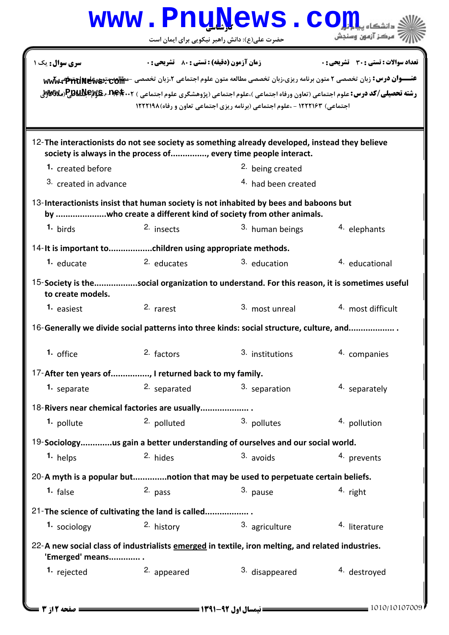|                                                                                                                                                                    |                                                    | www.PnuNews.c<br>حضرت علی(ع): دانش راهبر نیکویی برای ایمان است                                                                                                                                                                                                                                                                                   | لركز آزمون وسنجش                      |  |  |
|--------------------------------------------------------------------------------------------------------------------------------------------------------------------|----------------------------------------------------|--------------------------------------------------------------------------------------------------------------------------------------------------------------------------------------------------------------------------------------------------------------------------------------------------------------------------------------------------|---------------------------------------|--|--|
| <b>سری سوال :</b> یک ۱                                                                                                                                             | <b>زمان آزمون (دقیقه) : تستی : 80 ٪ تشریحی : 0</b> |                                                                                                                                                                                                                                                                                                                                                  | تعداد سوالات : تستي : 30 - تشريحي : 0 |  |  |
|                                                                                                                                                                    |                                                    | عنـــوان درس: زبان تخصصی ۲ متون برنامه ریزی،زبان تخصصی مطالعه متون علوم اجتماعی ۲،زبان تخصصی -مطالعهمتون www و تع<br>ر <b>شته تحصیلی/کد درس: ع</b> لوم اجتماعی (تعاون ورفاه اجتماعی )،علوم اجتماعی (یژوهشگری علوم اجتماعی ) <b>PauMexe ، net</b> r (ر <b>XM</b> wy<br>اجتماعی) ۱۲۲۲۱۶۳ - ،علوم اجتماعی (برنامه ریزی اجتماعی تعاون و رفاه)۱۲۲۲۱۹۸ |                                       |  |  |
| 12-The interactionists do not see society as something already developed, instead they believe<br>society is always in the process of, every time people interact. |                                                    |                                                                                                                                                                                                                                                                                                                                                  |                                       |  |  |
| 1. created before                                                                                                                                                  |                                                    | <sup>2.</sup> being created                                                                                                                                                                                                                                                                                                                      |                                       |  |  |
| 3. created in advance                                                                                                                                              |                                                    | 4. had been created                                                                                                                                                                                                                                                                                                                              |                                       |  |  |
| 13-Interactionists insist that human society is not inhabited by bees and baboons but<br>by who create a different kind of society from other animals.             |                                                    |                                                                                                                                                                                                                                                                                                                                                  |                                       |  |  |
| $1.$ birds                                                                                                                                                         | 2. insects                                         | 3. human beings                                                                                                                                                                                                                                                                                                                                  | <sup>4</sup> elephants                |  |  |
|                                                                                                                                                                    |                                                    |                                                                                                                                                                                                                                                                                                                                                  |                                       |  |  |
| 1. educate                                                                                                                                                         | 2. educates                                        | 3. education                                                                                                                                                                                                                                                                                                                                     | 4. educational                        |  |  |
| 15-Society is thesocial organization to understand. For this reason, it is sometimes useful<br>to create models.                                                   |                                                    |                                                                                                                                                                                                                                                                                                                                                  |                                       |  |  |
| 1. easiest                                                                                                                                                         | 2. rarest                                          | 3. most unreal                                                                                                                                                                                                                                                                                                                                   | 4. most difficult                     |  |  |
| 16-Generally we divide social patterns into three kinds: social structure, culture, and                                                                            |                                                    |                                                                                                                                                                                                                                                                                                                                                  |                                       |  |  |
| 1. office                                                                                                                                                          | 2. factors                                         | 3. institutions                                                                                                                                                                                                                                                                                                                                  | 4. companies                          |  |  |
| 17-After ten years of, I returned back to my family.                                                                                                               |                                                    |                                                                                                                                                                                                                                                                                                                                                  |                                       |  |  |
| 1. separate                                                                                                                                                        | 2. separated                                       | 3. separation                                                                                                                                                                                                                                                                                                                                    | 4. separately                         |  |  |
| 18-Rivers near chemical factories are usually                                                                                                                      |                                                    |                                                                                                                                                                                                                                                                                                                                                  |                                       |  |  |
| 1. pollute                                                                                                                                                         | 2. polluted                                        | 3. pollutes                                                                                                                                                                                                                                                                                                                                      | 4. pollution                          |  |  |
| 19-Sociologyus gain a better understanding of ourselves and our social world.                                                                                      |                                                    |                                                                                                                                                                                                                                                                                                                                                  |                                       |  |  |
| 1. helps                                                                                                                                                           | 2. hides                                           | $3.$ avoids                                                                                                                                                                                                                                                                                                                                      | 4. prevents                           |  |  |
| 20-A myth is a popular butnotion that may be used to perpetuate certain beliefs.                                                                                   |                                                    |                                                                                                                                                                                                                                                                                                                                                  |                                       |  |  |
| 1. false                                                                                                                                                           | 2. pass                                            | 3. pause                                                                                                                                                                                                                                                                                                                                         | 4. right                              |  |  |
| 21-The science of cultivating the land is called                                                                                                                   |                                                    |                                                                                                                                                                                                                                                                                                                                                  |                                       |  |  |
| 1. sociology                                                                                                                                                       | 2. history                                         | 3. agriculture                                                                                                                                                                                                                                                                                                                                   | <sup>4.</sup> literature              |  |  |
| 22-A new social class of industrialists emerged in textile, iron melting, and related industries.<br>'Emerged' means                                               |                                                    |                                                                                                                                                                                                                                                                                                                                                  |                                       |  |  |
| 1. rejected                                                                                                                                                        | 2. appeared                                        | 3. disappeared                                                                                                                                                                                                                                                                                                                                   | 4. destroyed                          |  |  |